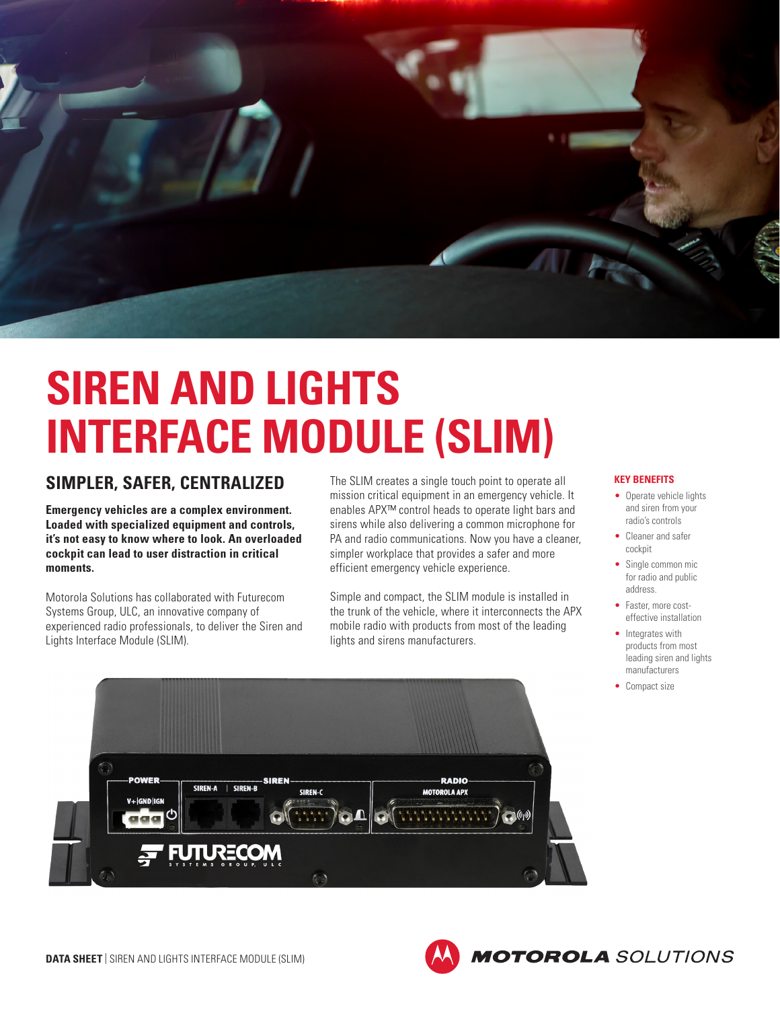

## **SIREN AND LIGHTS INTERFACE MODULE (SLIM)**

## **SIMPLER, SAFER, CENTRALIZED**

**Emergency vehicles are a complex environment. Loaded with specialized equipment and controls, it's not easy to know where to look. An overloaded cockpit can lead to user distraction in critical moments.**

Motorola Solutions has collaborated with Futurecom Systems Group, ULC, an innovative company of experienced radio professionals, to deliver the Siren and Lights Interface Module (SLIM).

The SLIM creates a single touch point to operate all mission critical equipment in an emergency vehicle. It enables APX™ control heads to operate light bars and sirens while also delivering a common microphone for PA and radio communications. Now you have a cleaner, simpler workplace that provides a safer and more efficient emergency vehicle experience.

Simple and compact, the SLIM module is installed in the trunk of the vehicle, where it interconnects the APX mobile radio with products from most of the leading lights and sirens manufacturers.

## **KEY BENEFITS**

- Operate vehicle lights and siren from your radio's controls
- Cleaner and safer cockpit
- Single common mic for radio and public address.
- Faster, more costeffective installation
- Integrates with products from most leading siren and lights manufacturers
- Compact size

**MOTOROLA** SOLUTIONS